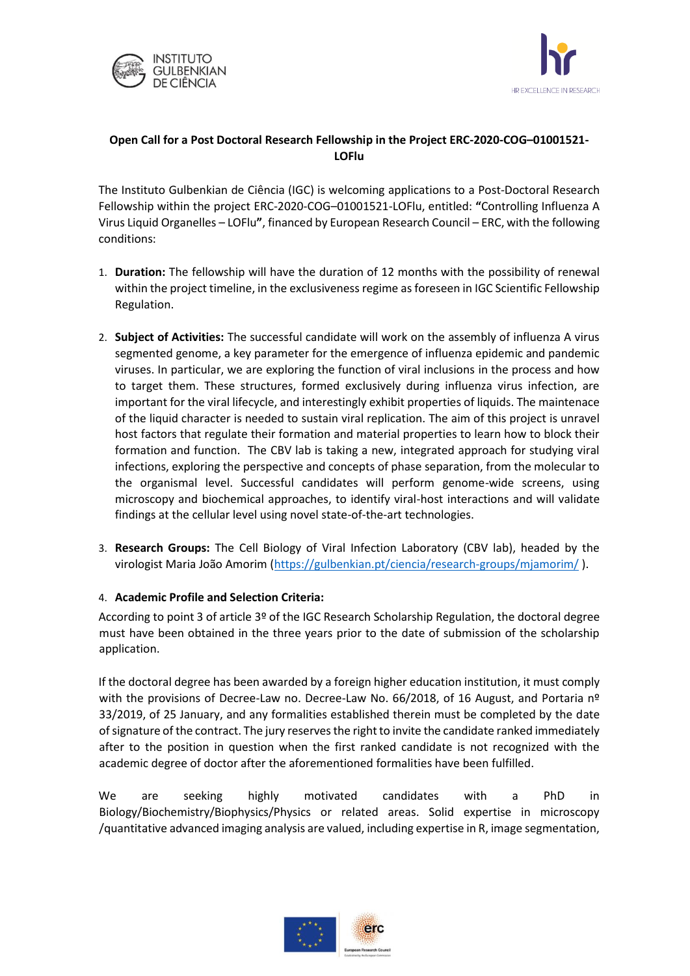



## **Open Call for a Post Doctoral Research Fellowship in the Project ERC-2020-COG–01001521- LOFlu**

The Instituto Gulbenkian de Ciência (IGC) is welcoming applications to a Post-Doctoral Research Fellowship within the project ERC-2020-COG–01001521-LOFlu, entitled: **"**Controlling Influenza A Virus Liquid Organelles – LOFlu**"**, financed by European Research Council – ERC, with the following conditions:

- 1. **Duration:** The fellowship will have the duration of 12 months with the possibility of renewal within the project timeline, in the exclusiveness regime as foreseen in IGC Scientific Fellowship Regulation.
- 2. **Subject of Activities:** The successful candidate will work on the assembly of influenza A virus segmented genome, a key parameter for the emergence of influenza epidemic and pandemic viruses. In particular, we are exploring the function of viral inclusions in the process and how to target them. These structures, formed exclusively during influenza virus infection, are important for the viral lifecycle, and interestingly exhibit properties of liquids. The maintenace of the liquid character is needed to sustain viral replication. The aim of this project is unravel host factors that regulate their formation and material properties to learn how to block their formation and function. The CBV lab is taking a new, integrated approach for studying viral infections, exploring the perspective and concepts of phase separation, from the molecular to the organismal level. Successful candidates will perform genome-wide screens, using microscopy and biochemical approaches, to identify viral-host interactions and will validate findings at the cellular level using novel state-of-the-art technologies.
- 3. **Research Groups:** The Cell Biology of Viral Infection Laboratory (CBV lab), headed by the virologist Maria João Amorim [\(https://gulbenkian.pt/ciencia/research-groups/mjamorim/](https://gulbenkian.pt/ciencia/research-groups/mjamorim/) ).

## 4. **Academic Profile and Selection Criteria:**

According to point 3 of article 3º of the IGC Research Scholarship Regulation, the doctoral degree must have been obtained in the three years prior to the date of submission of the scholarship application.

If the doctoral degree has been awarded by a foreign higher education institution, it must comply with the provisions of Decree-Law no. Decree-Law No. 66/2018, of 16 August, and Portaria nº 33/2019, of 25 January, and any formalities established therein must be completed by the date of signature of the contract. The jury reserves the right to invite the candidate ranked immediately after to the position in question when the first ranked candidate is not recognized with the academic degree of doctor after the aforementioned formalities have been fulfilled.

We are seeking highly motivated candidates with a PhD in Biology/Biochemistry/Biophysics/Physics or related areas. Solid expertise in microscopy /quantitative advanced imaging analysis are valued, including expertise in R, image segmentation,